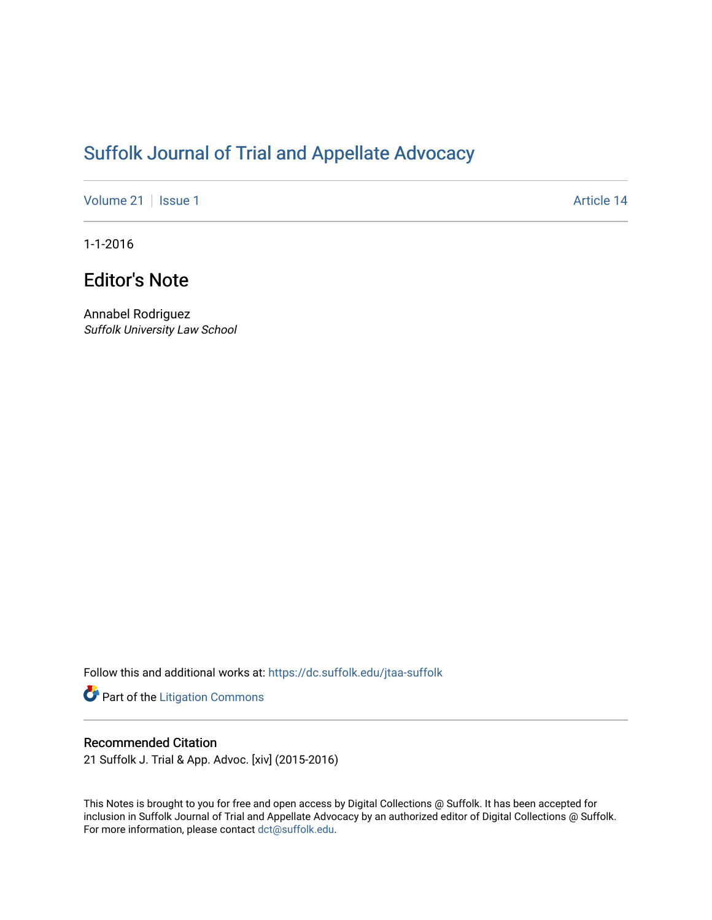# [Suffolk Journal of Trial and Appellate Advocacy](https://dc.suffolk.edu/jtaa-suffolk)

[Volume 21](https://dc.suffolk.edu/jtaa-suffolk/vol21) | [Issue 1](https://dc.suffolk.edu/jtaa-suffolk/vol21/iss1) Article 14

1-1-2016

# Editor's Note

Annabel Rodriguez Suffolk University Law School

Follow this and additional works at: [https://dc.suffolk.edu/jtaa-suffolk](https://dc.suffolk.edu/jtaa-suffolk?utm_source=dc.suffolk.edu%2Fjtaa-suffolk%2Fvol21%2Fiss1%2F14&utm_medium=PDF&utm_campaign=PDFCoverPages) 

Part of the [Litigation Commons](https://network.bepress.com/hgg/discipline/910?utm_source=dc.suffolk.edu%2Fjtaa-suffolk%2Fvol21%2Fiss1%2F14&utm_medium=PDF&utm_campaign=PDFCoverPages)

## Recommended Citation

21 Suffolk J. Trial & App. Advoc. [xiv] (2015-2016)

This Notes is brought to you for free and open access by Digital Collections @ Suffolk. It has been accepted for inclusion in Suffolk Journal of Trial and Appellate Advocacy by an authorized editor of Digital Collections @ Suffolk. For more information, please contact [dct@suffolk.edu](mailto:dct@suffolk.edu).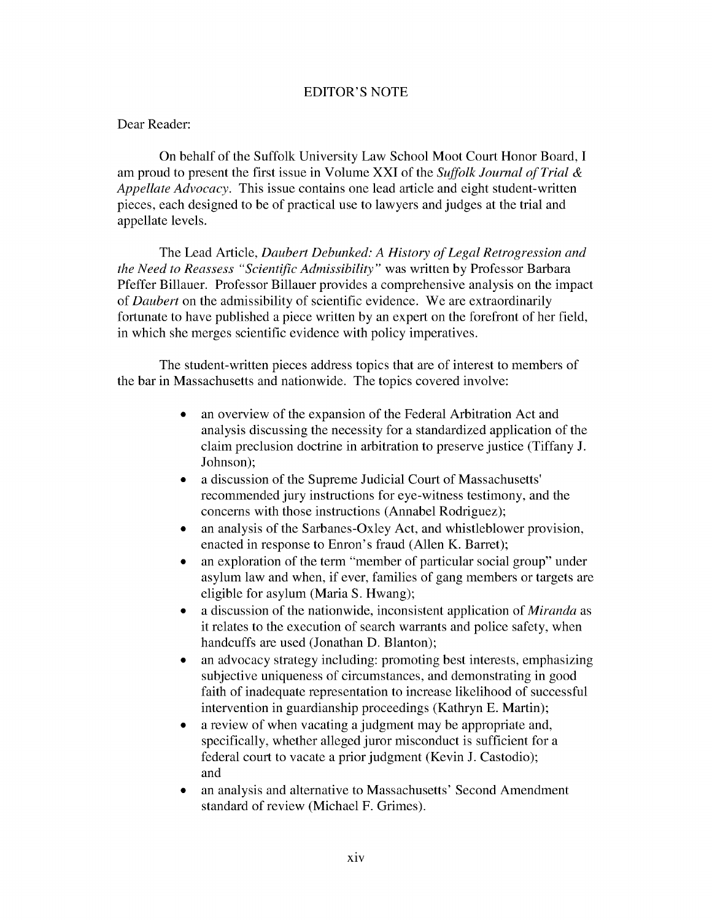#### EDITOR'S NOTE

### Dear Reader:

On behalf of the Suffolk University Law School Moot Court Honor Board, I am proud to present the first issue in Volume XXI of the *Suffolk Journal of Trial & Appellate Advocacy.* This issue contains one lead article and eight student-written pieces, each designed to be of practical use to lawyers and judges at the trial and appellate levels.

The Lead Article, *Daubert Debunked: A History of Legal Retrogression and the Need to Reassess "Scientific Admissibility"* was written by Professor Barbara Pfeffer Billauer. Professor Billauer provides a comprehensive analysis on the impact of *Daubert* on the admissibility of scientific evidence. We are extraordinarily fortunate to have published a piece written by an expert on the forefront of her field, in which she merges scientific evidence with policy imperatives.

The student-written pieces address topics that are of interest to members of the bar in Massachusetts and nationwide. The topics covered involve:

- an overview of the expansion of the Federal Arbitration Act and analysis discussing the necessity for a standardized application of the claim preclusion doctrine in arbitration to preserve justice (Tiffany J. Johnson);
- a discussion of the Supreme Judicial Court of Massachusetts' recommended jury instructions for eye-witness testimony, and the concerns with those instructions (Annabel Rodriguez);
- an analysis of the Sarbanes-Oxley Act, and whistleblower provision, enacted in response to Enron's fraud (Allen K. Barret);
- an exploration of the term "member of particular social group" under asylum law and when, if ever, families of gang members or targets are eligible for asylum (Maria S. Hwang);
- \* a discussion of the nationwide, inconsistent application of *Miranda* as it relates to the execution of search warrants and police safety, when handcuffs are used (Jonathan D. Blanton);
- an advocacy strategy including: promoting best interests, emphasizing subjective uniqueness of circumstances, and demonstrating in good faith of inadequate representation to increase likelihood of successful intervention in guardianship proceedings (Kathryn E. Martin);
- a review of when vacating a judgment may be appropriate and, specifically, whether alleged juror misconduct is sufficient for a federal court to vacate a prior judgment (Kevin J. Castodio); and
- an analysis and alternative to Massachusetts' Second Amendment standard of review (Michael F. Grimes).